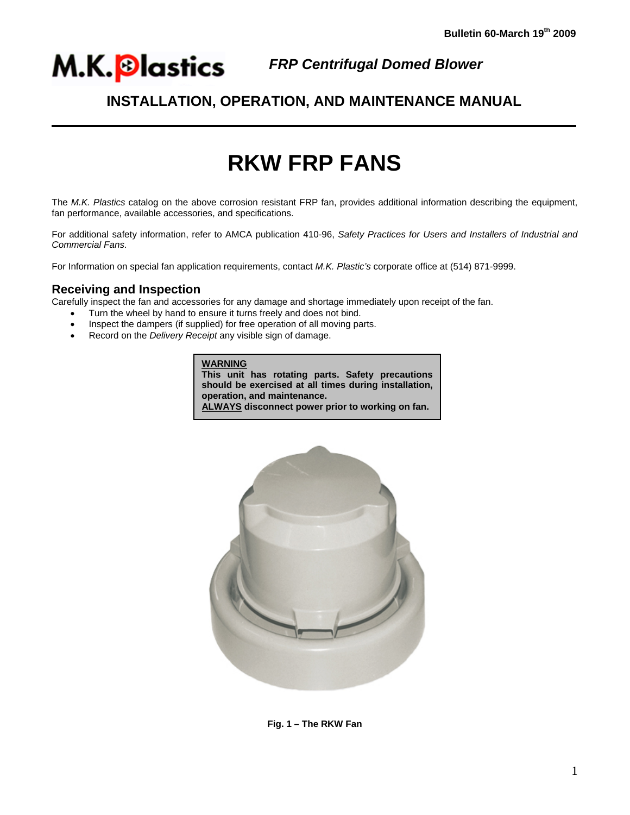

֦

## *FRP Centrifugal Domed Blower*

# **INSTALLATION, OPERATION, AND MAINTENANCE MANUAL**

# **RKW FRP FANS**

The *M.K. Plastics* catalog on the above corrosion resistant FRP fan, provides additional information describing the equipment, fan performance, available accessories, and specifications.

For additional safety information, refer to AMCA publication 410-96, *Safety Practices for Users and Installers of Industrial and Commercial Fans*.

For Information on special fan application requirements, contact *M.K. Plastic's* corporate office at (514) 871-9999.

### **Receiving and Inspection**

Carefully inspect the fan and accessories for any damage and shortage immediately upon receipt of the fan.

- Turn the wheel by hand to ensure it turns freely and does not bind.
- Inspect the dampers (if supplied) for free operation of all moving parts.
- Record on the *Delivery Receipt* any visible sign of damage.

**WARNING This unit has rotating parts. Safety precautions should be exercised at all times during installation, operation, and maintenance. ALWAYS disconnect power prior to working on fan.**



**Fig. 1 – The RKW Fan**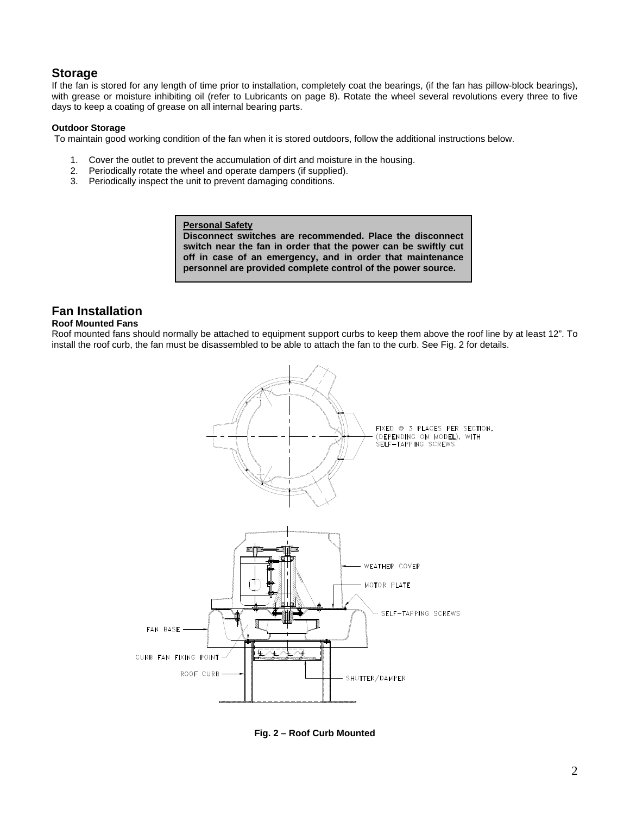### **Storage**

If the fan is stored for any length of time prior to installation, completely coat the bearings, (if the fan has pillow-block bearings), with grease or moisture inhibiting oil (refer to Lubricants on page 8). Rotate the wheel several revolutions every three to five days to keep a coating of grease on all internal bearing parts.

### **Outdoor Storage**

To maintain good working condition of the fan when it is stored outdoors, follow the additional instructions below.

- 1. Cover the outlet to prevent the accumulation of dirt and moisture in the housing.
- 2. Periodically rotate the wheel and operate dampers (if supplied).
- 3. Periodically inspect the unit to prevent damaging conditions.

**Personal Safety Disconnect switches are recommended. Place the disconnect switch near the fan in order that the power can be swiftly cut off in case of an emergency, and in order that maintenance personnel are provided complete control of the power source.** 

### **Fan Installation**

#### **Roof Mounted Fans**

Roof mounted fans should normally be attached to equipment support curbs to keep them above the roof line by at least 12". To install the roof curb, the fan must be disassembled to be able to attach the fan to the curb. See Fig. 2 for details.



**Fig. 2 – Roof Curb Mounted**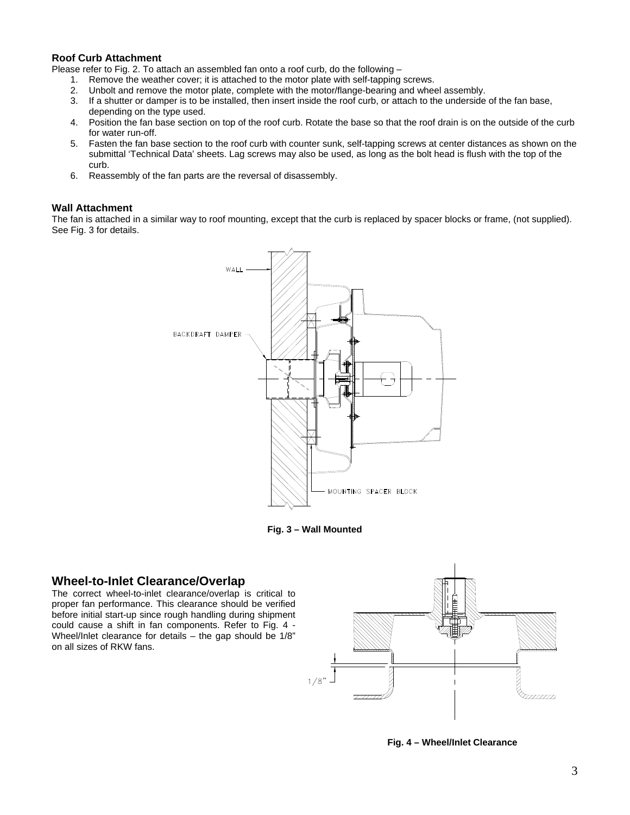### **Roof Curb Attachment**

Please refer to Fig. 2. To attach an assembled fan onto a roof curb, do the following –

- 1. Remove the weather cover; it is attached to the motor plate with self-tapping screws.
- 2. Unbolt and remove the motor plate, complete with the motor/flange-bearing and wheel assembly.
- 3. If a shutter or damper is to be installed, then insert inside the roof curb, or attach to the underside of the fan base, depending on the type used.
- 4. Position the fan base section on top of the roof curb. Rotate the base so that the roof drain is on the outside of the curb for water run-off.
- 5. Fasten the fan base section to the roof curb with counter sunk, self-tapping screws at center distances as shown on the submittal 'Technical Data' sheets. Lag screws may also be used, as long as the bolt head is flush with the top of the curb.
- 6. Reassembly of the fan parts are the reversal of disassembly.

#### **Wall Attachment**

The fan is attached in a similar way to roof mounting, except that the curb is replaced by spacer blocks or frame, (not supplied). See Fig. 3 for details.



**Fig. 3 – Wall Mounted** 

### **Wheel-to-Inlet Clearance/Overlap**

The correct wheel-to-inlet clearance/overlap is critical to proper fan performance. This clearance should be verified before initial start-up since rough handling during shipment could cause a shift in fan components. Refer to Fig. 4 - Wheel/Inlet clearance for details  $-$  the gap should be 1/8" on all sizes of RKW fans.



 **Fig. 4 – Wheel/Inlet Clearance**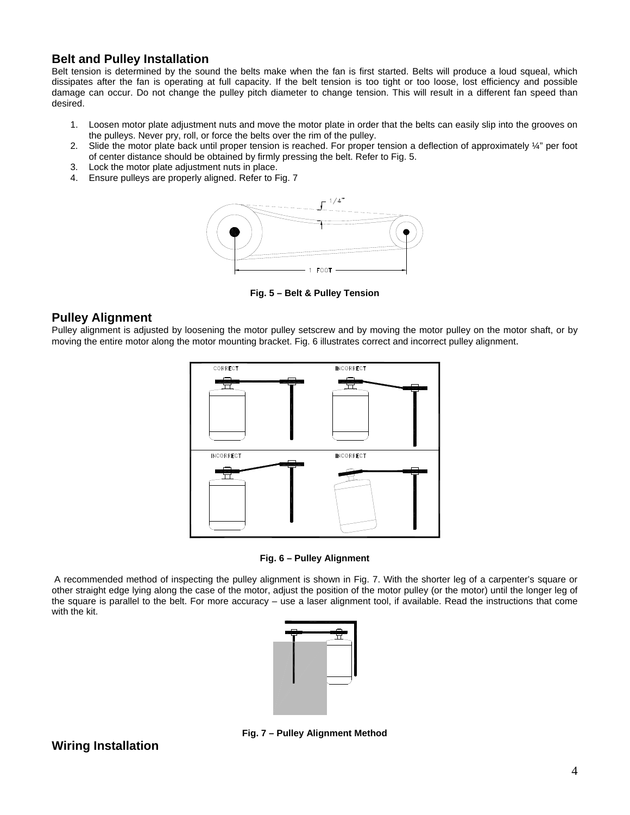### **Belt and Pulley Installation**

Belt tension is determined by the sound the belts make when the fan is first started. Belts will produce a loud squeal, which dissipates after the fan is operating at full capacity. If the belt tension is too tight or too loose, lost efficiency and possible damage can occur. Do not change the pulley pitch diameter to change tension. This will result in a different fan speed than desired.

- 1. Loosen motor plate adjustment nuts and move the motor plate in order that the belts can easily slip into the grooves on the pulleys. Never pry, roll, or force the belts over the rim of the pulley.
- 2. Slide the motor plate back until proper tension is reached. For proper tension a deflection of approximately  $\frac{1}{4}$ " per foot of center distance should be obtained by firmly pressing the belt. Refer to Fig. 5.
- 3. Lock the motor plate adjustment nuts in place.
- 4. Ensure pulleys are properly aligned. Refer to Fig. 7



**Fig. 5 – Belt & Pulley Tension** 

### **Pulley Alignment**

Pulley alignment is adjusted by loosening the motor pulley setscrew and by moving the motor pulley on the motor shaft, or by moving the entire motor along the motor mounting bracket. Fig. 6 illustrates correct and incorrect pulley alignment.



**Fig. 6 – Pulley Alignment** 

 A recommended method of inspecting the pulley alignment is shown in Fig. 7. With the shorter leg of a carpenter's square or other straight edge lying along the case of the motor, adjust the position of the motor pulley (or the motor) until the longer leg of the square is parallel to the belt. For more accuracy – use a laser alignment tool, if available. Read the instructions that come with the kit.



### **Wiring Installation**

**Fig. 7 – Pulley Alignment Method**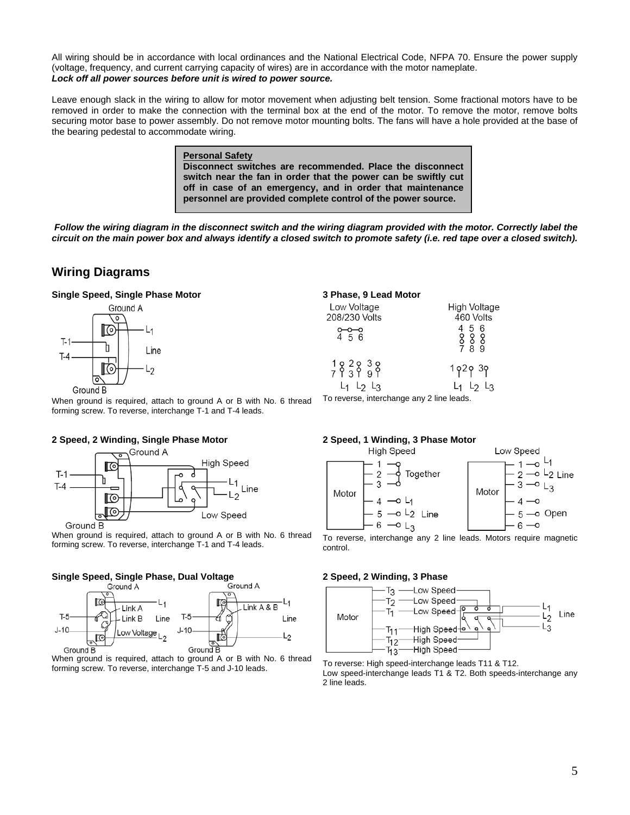All wiring should be in accordance with local ordinances and the National Electrical Code, NFPA 70. Ensure the power supply (voltage, frequency, and current carrying capacity of wires) are in accordance with the motor nameplate. *Lock off all power sources before unit is wired to power source.* 

Leave enough slack in the wiring to allow for motor movement when adjusting belt tension. Some fractional motors have to be removed in order to make the connection with the terminal box at the end of the motor. To remove the motor, remove bolts securing motor base to power assembly. Do not remove motor mounting bolts. The fans will have a hole provided at the base of the bearing pedestal to accommodate wiring.

> **Personal Safety Disconnect switches are recommended. Place the disconnect switch near the fan in order that the power can be swiftly cut off in case of an emergency, and in order that maintenance personnel are provided complete control of the power source.**

*Follow the wiring diagram in the disconnect switch and the wiring diagram provided with the motor. Correctly label the circuit on the main power box and always identify a closed switch to promote safety (i.e. red tape over a closed switch).* 

### **Wiring Diagrams**

### **Single Speed, Single Phase Motor**



When ground is required, attach to ground A or B with No. 6 thread forming screw. To reverse, interchange T-1 and T-4 leads.

#### **2 Speed, 2 Winding, Single Phase Motor**



When ground is required, attach to ground A or B with No. 6 thread forming screw. To reverse, interchange T-1 and T-4 leads.

# **Single Speed, Single Phase, Dual Voltage**



When ground is required, attach to ground A or B with No. 6 thread forming screw. To reverse, interchange T-5 and J-10 leads.

#### **3 Phase, 9 Lead Motor**  Low Voltage **High Voltage** 208/230 Volts 460 Volts  $\begin{array}{c} 4 & 5 & 6 \\ 8 & 8 & 8 \\ 7 & 8 & 9 \end{array}$  $182838$ <br>  $71399$ 1929 39  $L_1$   $L_2$   $L_3$  $L_1$   $L_2$   $L_3$

To reverse, interchange any 2 line leads.

# **2 Speed, 1 Winding, 3 Phase Motor**



To reverse, interchange any 2 line leads. Motors require magnetic control.

#### **2 Speed, 2 Winding, 3 Phase**



To reverse: High speed-interchange leads T11 & T12. Low speed-interchange leads T1 & T2. Both speeds-interchange any 2 line leads.

### 5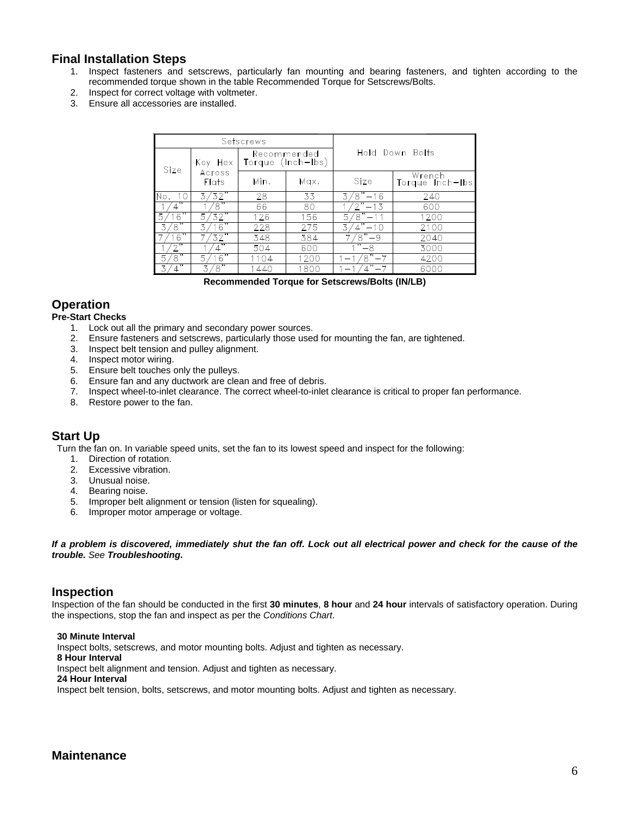### **Final Installation Steps**

- 1. Inspect fasteners and setscrews, particularly fan mounting and bearing fasteners, and tighten according to the recommended torque shown in the table Recommended Torque for Setscrews/Bolts.
- 2. Inspect for correct voltage with voltmeter.
- 3. Ensure all accessories are installed.

|                                |                         | Setscrews                        | Hold Down Bolts |                  |                           |
|--------------------------------|-------------------------|----------------------------------|-----------------|------------------|---------------------------|
| Size                           | Key Hex                 | Recommended<br>Torque (Inch-Ibs) |                 |                  |                           |
|                                | Across<br><b>Flats</b>  | Min.                             | Max.            | Size             | Wrench<br>Torque Inch-Ibs |
| 10<br>No.                      | 3/32"                   | 28                               | 33              | $8 - 16$<br>3    | 240                       |
|                                | '8"                     | 66                               | 80              | $2" - 13$        | 600                       |
| 16<br>5                        | $'3\overline{2"}$<br>5. | 126                              | 156             | $8" - 11$<br>5   | 1200                      |
| ່8"                            | 16"<br>3                | 228                              | 275             | 3<br>$-10$       | 2100                      |
| 16"                            | '32"                    | 348                              | 384             | $\sqrt{8}$<br>-9 | 2040                      |
| ,,                             | ,,                      | 504                              | 600             | -8               | 3000                      |
| $\overline{\mathbf{g}}$ "<br>5 | 16"<br>5                | 1104                             | 1200            | $8 - 7$          | 4200                      |
| ,,,                            | '8"                     | 1440                             | 1800            | $1" - 7$         | 6000                      |

**Recommended Torque for Setscrews/Bolts (IN/LB)** 

### **Operation**

#### **Pre-Start Checks**

- 1. Lock out all the primary and secondary power sources.
- 2. Ensure fasteners and setscrews, particularly those used for mounting the fan, are tightened.
- 3. Inspect belt tension and pulley alignment.
- 4. Inspect motor wiring.
- 5. Ensure belt touches only the pulleys.
- 
- 6. Ensure fan and any ductwork are clean and free of debris.<br>7. Inspect wheel-to-inlet clearance. The correct wheel-to-inlet Inspect wheel-to-inlet clearance. The correct wheel-to-inlet clearance is critical to proper fan performance.
- 8. Restore power to the fan.

### **Start Up**

Turn the fan on. In variable speed units, set the fan to its lowest speed and inspect for the following:

- 1. Direction of rotation.
- 2. Excessive vibration.
- 3. Unusual noise.
- 4. Bearing noise.
- 5. Improper belt alignment or tension (listen for squealing).
- 6. Improper motor amperage or voltage.

*If a problem is discovered, immediately shut the fan off. Lock out all electrical power and check for the cause of the trouble. See Troubleshooting.* 

### **Inspection**

Inspection of the fan should be conducted in the first **30 minutes**, **8 hour** and **24 hour** intervals of satisfactory operation. During the inspections, stop the fan and inspect as per the *Conditions Chart*.

#### **30 Minute Interval**

Inspect bolts, setscrews, and motor mounting bolts. Adjust and tighten as necessary.

#### **8 Hour Interval**

Inspect belt alignment and tension. Adjust and tighten as necessary.

#### **24 Hour Interval**

Inspect belt tension, bolts, setscrews, and motor mounting bolts. Adjust and tighten as necessary.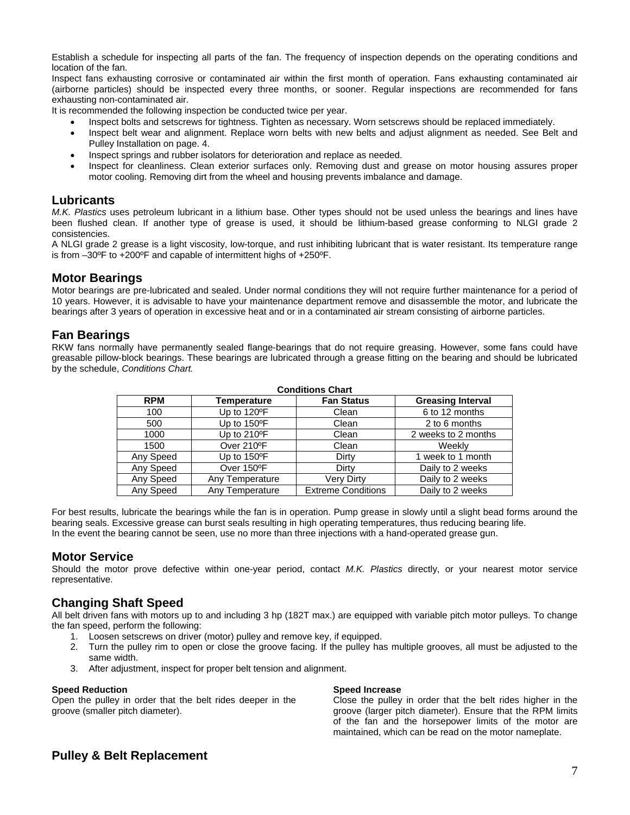Establish a schedule for inspecting all parts of the fan. The frequency of inspection depends on the operating conditions and location of the fan.

Inspect fans exhausting corrosive or contaminated air within the first month of operation. Fans exhausting contaminated air (airborne particles) should be inspected every three months, or sooner. Regular inspections are recommended for fans exhausting non-contaminated air.

It is recommended the following inspection be conducted twice per year.

- Inspect bolts and setscrews for tightness. Tighten as necessary. Worn setscrews should be replaced immediately.
- Inspect belt wear and alignment. Replace worn belts with new belts and adjust alignment as needed. See Belt and Pulley Installation on page. 4.
- Inspect springs and rubber isolators for deterioration and replace as needed.
- Inspect for cleanliness. Clean exterior surfaces only. Removing dust and grease on motor housing assures proper motor cooling. Removing dirt from the wheel and housing prevents imbalance and damage.

### **Lubricants**

*M.K. Plastics* uses petroleum lubricant in a lithium base. Other types should not be used unless the bearings and lines have been flushed clean. If another type of grease is used, it should be lithium-based grease conforming to NLGI grade 2 consistencies.

A NLGI grade 2 grease is a light viscosity, low-torque, and rust inhibiting lubricant that is water resistant. Its temperature range is from –30ºF to +200ºF and capable of intermittent highs of +250ºF.

### **Motor Bearings**

Motor bearings are pre-lubricated and sealed. Under normal conditions they will not require further maintenance for a period of 10 years. However, it is advisable to have your maintenance department remove and disassemble the motor, and lubricate the bearings after 3 years of operation in excessive heat and or in a contaminated air stream consisting of airborne particles.

### **Fan Bearings**

RKW fans normally have permanently sealed flange-bearings that do not require greasing. However, some fans could have greasable pillow-block bearings. These bearings are lubricated through a grease fitting on the bearing and should be lubricated by the schedule, *Conditions Chart.* 

| <b>Conditions Chart</b> |                       |                           |                          |  |  |  |
|-------------------------|-----------------------|---------------------------|--------------------------|--|--|--|
| <b>RPM</b>              | Temperature           | <b>Fan Status</b>         | <b>Greasing Interval</b> |  |  |  |
| 100                     | Up to 120°F           | Clean                     | 6 to 12 months           |  |  |  |
| 500                     | Up to 150°F           | Clean                     | 2 to 6 months            |  |  |  |
| 1000                    | Up to $210^{\circ}$ F | Clean                     | 2 weeks to 2 months      |  |  |  |
| 1500                    | Over 210°F            | Clean                     | Weekly                   |  |  |  |
| Any Speed               | Up to $150^{\circ}$ F | Dirty                     | 1 week to 1 month        |  |  |  |
| Any Speed               | Over 150°F            | Dirty                     | Daily to 2 weeks         |  |  |  |
| Any Speed               | Any Temperature       | <b>Very Dirty</b>         | Daily to 2 weeks         |  |  |  |
| Any Speed               | Any Temperature       | <b>Extreme Conditions</b> | Daily to 2 weeks         |  |  |  |

For best results, lubricate the bearings while the fan is in operation. Pump grease in slowly until a slight bead forms around the bearing seals. Excessive grease can burst seals resulting in high operating temperatures, thus reducing bearing life. In the event the bearing cannot be seen, use no more than three injections with a hand-operated grease gun.

### **Motor Service**

Should the motor prove defective within one-year period, contact *M.K. Plastics* directly, or your nearest motor service representative.

### **Changing Shaft Speed**

All belt driven fans with motors up to and including 3 hp (182T max.) are equipped with variable pitch motor pulleys. To change the fan speed, perform the following:

- 1. Loosen setscrews on driver (motor) pulley and remove key, if equipped.
- 2. Turn the pulley rim to open or close the groove facing. If the pulley has multiple grooves, all must be adjusted to the same width.
- 3. After adjustment, inspect for proper belt tension and alignment.

#### **Speed Reduction**

Open the pulley in order that the belt rides deeper in the groove (smaller pitch diameter).

#### **Speed Increase**

Close the pulley in order that the belt rides higher in the groove (larger pitch diameter). Ensure that the RPM limits of the fan and the horsepower limits of the motor are maintained, which can be read on the motor nameplate.

### **Pulley & Belt Replacement**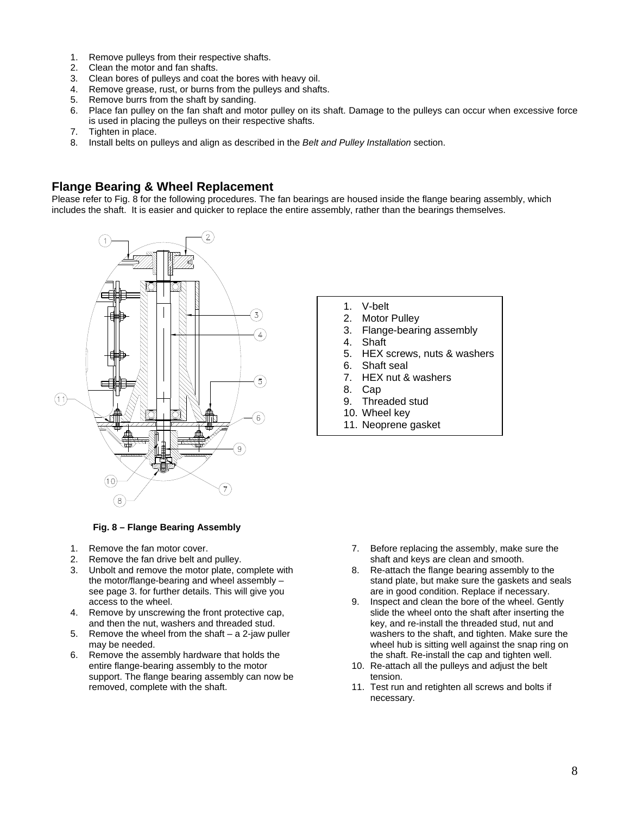- 1. Remove pulleys from their respective shafts.
- 2. Clean the motor and fan shafts.
- 3. Clean bores of pulleys and coat the bores with heavy oil.
- 4. Remove grease, rust, or burns from the pulleys and shafts.
- 5. Remove burrs from the shaft by sanding.
- 6. Place fan pulley on the fan shaft and motor pulley on its shaft. Damage to the pulleys can occur when excessive force is used in placing the pulleys on their respective shafts.
- 7. Tighten in place.
- 8. Install belts on pulleys and align as described in the *Belt and Pulley Installation* section.

### **Flange Bearing & Wheel Replacement**

Please refer to Fig. 8 for the following procedures. The fan bearings are housed inside the flange bearing assembly, which includes the shaft. It is easier and quicker to replace the entire assembly, rather than the bearings themselves.



#### **Fig. 8 – Flange Bearing Assembly**

- 1. Remove the fan motor cover.
- 2. Remove the fan drive belt and pulley.
- 3. Unbolt and remove the motor plate, complete with the motor/flange-bearing and wheel assembly – see page 3. for further details. This will give you access to the wheel.
- 4. Remove by unscrewing the front protective cap, and then the nut, washers and threaded stud.
- 5. Remove the wheel from the shaft a 2-jaw puller may be needed.
- 6. Remove the assembly hardware that holds the entire flange-bearing assembly to the motor support. The flange bearing assembly can now be removed, complete with the shaft.
- 1. V-belt
- 2. Motor Pulley
- 3. Flange-bearing assembly
- 4. Shaft
- 5. HEX screws, nuts & washers
- 6. Shaft seal
- 7. HEX nut & washers
- 8. Cap
- 9. Threaded stud
- 10. Wheel key
- 11. Neoprene gasket

- 7. Before replacing the assembly, make sure the shaft and keys are clean and smooth.
- 8. Re-attach the flange bearing assembly to the stand plate, but make sure the gaskets and seals are in good condition. Replace if necessary.
- 9. Inspect and clean the bore of the wheel. Gently slide the wheel onto the shaft after inserting the key, and re-install the threaded stud, nut and washers to the shaft, and tighten. Make sure the wheel hub is sitting well against the snap ring on the shaft. Re-install the cap and tighten well.
- 10. Re-attach all the pulleys and adjust the belt tension.
- 11. Test run and retighten all screws and bolts if necessary.